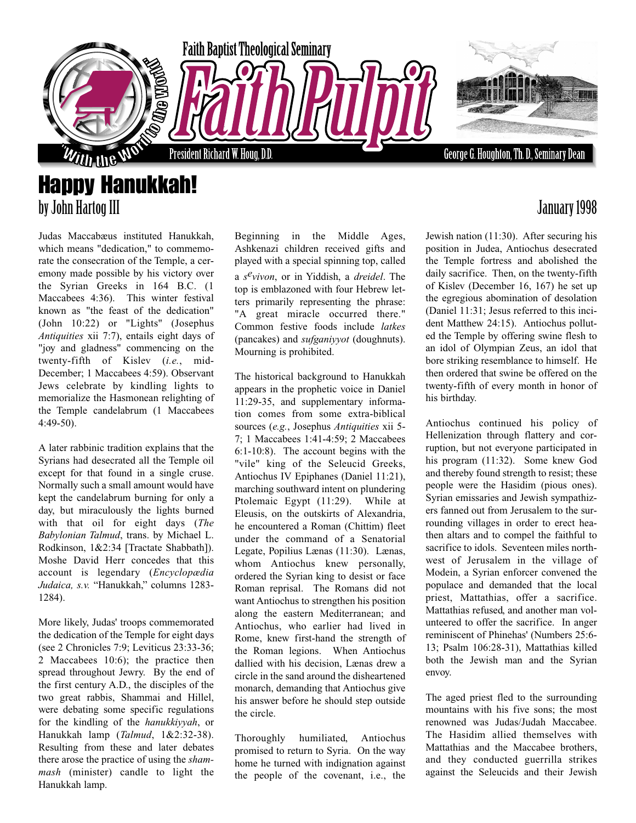

Judas Maccabæus instituted Hanukkah, which means "dedication," to commemorate the consecration of the Temple, a ceremony made possible by his victory over the Syrian Greeks in 164 B.C. (1 Maccabees 4:36). This winter festival known as "the feast of the dedication" (John 10:22) or "Lights" (Josephus *Antiquities* xii 7:7), entails eight days of "joy and gladness" commencing on the twenty-fifth of Kislev (*i.e.*, mid-December; 1 Maccabees 4:59). Observant Jews celebrate by kindling lights to memorialize the Hasmonean relighting of the Temple candelabrum (1 Maccabees 4:49-50).

A later rabbinic tradition explains that the Syrians had desecrated all the Temple oil except for that found in a single cruse. Normally such a small amount would have kept the candelabrum burning for only a day, but miraculously the lights burned with that oil for eight days (*The Babylonian Talmud*, trans. by Michael L. Rodkinson, 1&2:34 [Tractate Shabbath]). Moshe David Herr concedes that this account is legendary (*Encyclopædia Judaica, s.v.* "Hanukkah," columns 1283- 1284).

More likely, Judas' troops commemorated the dedication of the Temple for eight days (see 2 Chronicles 7:9; Leviticus 23:33-36; 2 Maccabees 10:6); the practice then spread throughout Jewry. By the end of the first century A.D., the disciples of the two great rabbis, Shammai and Hillel, were debating some specific regulations for the kindling of the *hanukkiyyah*, or Hanukkah lamp (*Talmud*, 1&2:32-38). Resulting from these and later debates there arose the practice of using the *shammash* (minister) candle to light the Hanukkah lamp.

Beginning in the Middle Ages, Ashkenazi children received gifts and played with a special spinning top, called a *sevivon*, or in Yiddish, a *dreidel*. The top is emblazoned with four Hebrew letters primarily representing the phrase: "A great miracle occurred there." Common festive foods include *latkes* (pancakes) and *sufganiyyot* (doughnuts). Mourning is prohibited.

The historical background to Hanukkah appears in the prophetic voice in Daniel 11:29-35, and supplementary information comes from some extra-biblical sources (*e.g.*, Josephus *Antiquities* xii 5- 7; 1 Maccabees 1:41-4:59; 2 Maccabees 6:1-10:8). The account begins with the "vile" king of the Seleucid Greeks, Antiochus IV Epiphanes (Daniel 11:21), marching southward intent on plundering Ptolemaic Egypt (11:29). While at Eleusis, on the outskirts of Alexandria, he encountered a Roman (Chittim) fleet under the command of a Senatorial Legate, Popilius Lænas (11:30). Lænas, whom Antiochus knew personally, ordered the Syrian king to desist or face Roman reprisal. The Romans did not want Antiochus to strengthen his position along the eastern Mediterranean; and Antiochus, who earlier had lived in Rome, knew first-hand the strength of the Roman legions. When Antiochus dallied with his decision, Lænas drew a circle in the sand around the disheartened monarch, demanding that Antiochus give his answer before he should step outside the circle.

Thoroughly humiliated, Antiochus promised to return to Syria. On the way home he turned with indignation against the people of the covenant, i.e., the

## by John Hartog III January 1998

Jewish nation (11:30). After securing his position in Judea, Antiochus desecrated the Temple fortress and abolished the daily sacrifice. Then, on the twenty-fifth of Kislev (December 16, 167) he set up the egregious abomination of desolation (Daniel 11:31; Jesus referred to this incident Matthew 24:15). Antiochus polluted the Temple by offering swine flesh to an idol of Olympian Zeus, an idol that bore striking resemblance to himself. He then ordered that swine be offered on the twenty-fifth of every month in honor of his birthday.

Antiochus continued his policy of Hellenization through flattery and corruption, but not everyone participated in his program (11:32). Some knew God and thereby found strength to resist; these people were the Hasidim (pious ones). Syrian emissaries and Jewish sympathizers fanned out from Jerusalem to the surrounding villages in order to erect heathen altars and to compel the faithful to sacrifice to idols. Seventeen miles northwest of Jerusalem in the village of Modein, a Syrian enforcer convened the populace and demanded that the local priest, Mattathias, offer a sacrifice. Mattathias refused, and another man volunteered to offer the sacrifice. In anger reminiscent of Phinehas' (Numbers 25:6- 13; Psalm 106:28-31), Mattathias killed both the Jewish man and the Syrian envoy.

The aged priest fled to the surrounding mountains with his five sons; the most renowned was Judas/Judah Maccabee. The Hasidim allied themselves with Mattathias and the Maccabee brothers, and they conducted guerrilla strikes against the Seleucids and their Jewish